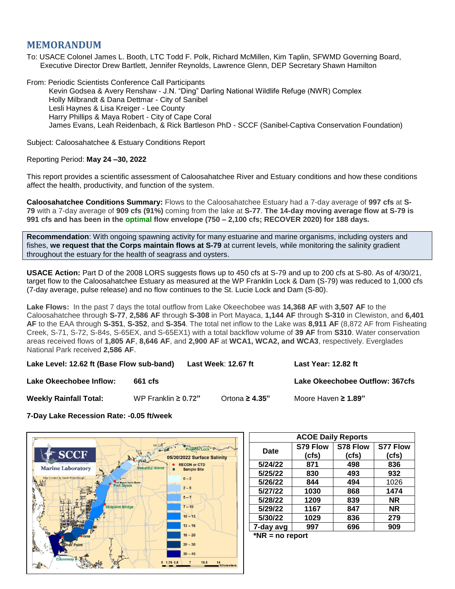# **MEMORANDUM**

To: USACE Colonel James L. Booth, LTC Todd F. Polk, Richard McMillen, Kim Taplin, SFWMD Governing Board, Executive Director Drew Bartlett, Jennifer Reynolds, Lawrence Glenn, DEP Secretary Shawn Hamilton

From: Periodic Scientists Conference Call Participants Kevin Godsea & Avery Renshaw - J.N. "Ding" Darling National Wildlife Refuge (NWR) Complex Holly Milbrandt & Dana Dettmar - City of Sanibel Lesli Haynes & Lisa Kreiger - Lee County Harry Phillips & Maya Robert - City of Cape Coral James Evans, Leah Reidenbach, & Rick Bartleson PhD - SCCF (Sanibel-Captiva Conservation Foundation)

Subject: Caloosahatchee & Estuary Conditions Report

## Reporting Period: **May 24 –30, 2022**

This report provides a scientific assessment of Caloosahatchee River and Estuary conditions and how these conditions affect the health, productivity, and function of the system.

**Caloosahatchee Conditions Summary:** Flows to the Caloosahatchee Estuary had a 7-day average of **997 cfs** at **S-79** with a 7-day average of **909 cfs (91%)** coming from the lake at **S-77**. **The 14-day moving average flow at S-79 is 991 cfs and has been in the optimal flow envelope (750 – 2,100 cfs; RECOVER 2020) for 188 days.**

**Recommendation**: With ongoing spawning activity for many estuarine and marine organisms, including oysters and fishes, **we request that the Corps maintain flows at S-79** at current levels, while monitoring the salinity gradient throughout the estuary for the health of seagrass and oysters.

**USACE Action:** Part D of the 2008 LORS suggests flows up to 450 cfs at S-79 and up to 200 cfs at S-80. As of 4/30/21, target flow to the Caloosahatchee Estuary as measured at the WP Franklin Lock & Dam (S-79) was reduced to 1,000 cfs (7-day average, pulse release) and no flow continues to the St. Lucie Lock and Dam (S-80).

**Lake Flows:** In the past 7 days the total outflow from Lake Okeechobee was **14,368 AF** with **3,507 AF** to the Caloosahatchee through **S-77**, **2,586 AF** through **S-308** in Port Mayaca, **1,144 AF** through **S-310** in Clewiston, and **6,401 AF** to the EAA through **S-351**, **S-352**, and **S-354**. The total net inflow to the Lake was **8,911 AF** (8,872 AF from Fisheating Creek, S-71, S-72, S-84s, S-65EX, and S-65EX1) with a total backflow volume of **39 AF** from **S310**. Water conservation areas received flows of **1,805 AF**, **8,646 AF**, and **2,900 AF** at **WCA1, WCA2, and WCA3**, respectively. Everglades National Park received **2,586 AF**.

**Lake Level: 12.62 ft (Base Flow sub-band) Last Week**: **12.67 ft Last Year: 12.82 ft Lake Okeechobee Inflow: 661 cfs Lake Okeechobee Outflow: 367cfs Weekly Rainfall Total:** WP Franklin **≥ 0.72"** Ortona **≥ 4.35"** Moore Haven **≥ 1.89"**

**7-Day Lake Recession Rate: -0.05 ft/week**



| <b>ACOE Daily Reports</b> |          |          |                 |  |  |
|---------------------------|----------|----------|-----------------|--|--|
| <b>Date</b>               | S79 Flow | S78 Flow | <b>S77 Flow</b> |  |  |
|                           | (cfs)    | (cfs)    | (cfs)           |  |  |
| 5/24/22                   | 871      | 498      | 836             |  |  |
| 5/25/22                   | 830      | 493      | 932             |  |  |
| 5/26/22                   | 844      | 494      | 1026            |  |  |
| 5/27/22                   | 1030     | 868      | 1474            |  |  |
| 5/28/22                   | 1209     | 839      | <b>NR</b>       |  |  |
| 5/29/22                   | 1167     | 847      | <b>NR</b>       |  |  |
| 5/30/22                   | 1029     | 836      | 279             |  |  |
| 7-day avg                 | 997      | 696      | 909             |  |  |
| $*$ NID<br>na ranari      |          |          |                 |  |  |

**\*NR = no report**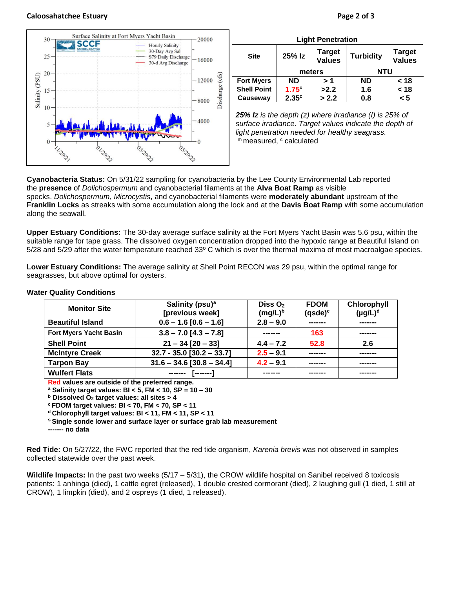#### **Caloosahatchee Estuary Page 2 of 3**



| <b>Light Penetration</b> |                   |                                |                  |                                |  |  |  |
|--------------------------|-------------------|--------------------------------|------------------|--------------------------------|--|--|--|
| <b>Site</b>              | 25% Iz            | <b>Target</b><br><b>Values</b> | <b>Turbidity</b> | <b>Target</b><br><b>Values</b> |  |  |  |
|                          | meters            |                                | NTU              |                                |  |  |  |
| <b>Fort Myers</b>        | <b>ND</b>         | > 1                            | <b>ND</b>        | < 18                           |  |  |  |
| <b>Shell Point</b>       | $1.75^\circ$      | >2.2                           | 1.6              | < 18                           |  |  |  |
| Causeway                 | 2.35 <sup>c</sup> | > 2.2                          | 0.8              | < 5                            |  |  |  |

*25% Iz is the depth (z) where irradiance (I) is 25% of surface irradiance. Target values indicate the depth of light penetration needed for healthy seagrass.* m measured, c calculated

**Cyanobacteria Status:** On 5/31/22 sampling for cyanobacteria by the Lee County Environmental Lab reported the **presence** of *Dolichospermum* and cyanobacterial filaments at the **Alva Boat Ramp** as visible specks. *Dolichospermum*, *Microcystis*, and cyanobacterial filaments were **moderately abundant** upstream of the **Franklin Locks** as streaks with some accumulation along the lock and at the **Davis Boat Ramp** with some accumulation along the seawall.

**Upper Estuary Conditions:** The 30-day average surface salinity at the Fort Myers Yacht Basin was 5.6 psu, within the suitable range for tape grass. The dissolved oxygen concentration dropped into the hypoxic range at Beautiful Island on 5/28 and 5/29 after the water temperature reached 33º C which is over the thermal maxima of most macroalgae species.

**Lower Estuary Conditions:** The average salinity at Shell Point RECON was 29 psu, within the optimal range for seagrasses, but above optimal for oysters.

| <b>Monitor Site</b>           | Salinity (psu) <sup>a</sup><br>[previous week] | Diss $O2$<br>$(mg/L)^b$ | <b>FDOM</b><br>$(gsde)^c$ | Chlorophyll<br>$(\mu g/L)^d$ |
|-------------------------------|------------------------------------------------|-------------------------|---------------------------|------------------------------|
| <b>Beautiful Island</b>       | $0.6 - 1.6 [0.6 - 1.6]$                        | $2.8 - 9.0$             |                           | -------                      |
| <b>Fort Myers Yacht Basin</b> | $3.8 - 7.0$ [4.3 - 7.8]                        |                         | 163                       | -------                      |
| <b>Shell Point</b>            | $21 - 34$ [20 - 33]                            | $4.4 - 7.2$             | 52.8                      | 2.6                          |
| <b>McIntyre Creek</b>         | $32.7 - 35.0$ [30.2 - 33.7]                    | $2.5 - 9.1$             | -------                   | -------                      |
| <b>Tarpon Bay</b>             | $31.6 - 34.6$ [30.8 - 34.4]                    | $4.2 - 9.1$             | --------                  | -------                      |
| <b>Wulfert Flats</b>          | --------                                       | -----                   |                           | -------                      |

#### **Water Quality Conditions**

**Red values are outside of the preferred range.**

**<sup>a</sup> Salinity target values: BI < 5, FM < 10, SP = 10 – 30**

**<sup>b</sup> Dissolved O<sup>2</sup> target values: all sites > 4**

**<sup>c</sup> FDOM target values: BI < 70, FM < 70, SP < 11**

**<sup>d</sup> Chlorophyll target values: BI < 11, FM < 11, SP < 11** 

**<sup>s</sup> Single sonde lower and surface layer or surface grab lab measurement**

**------- no data**

**Red Tide:** On 5/27/22, the FWC reported that the red tide organism, *Karenia brevis* was not observed in samples collected statewide over the past week.

**Wildlife Impacts:** In the past two weeks (5/17 – 5/31), the CROW wildlife hospital on Sanibel received 8 toxicosis patients: 1 anhinga (died), 1 cattle egret (released), 1 double crested cormorant (died), 2 laughing gull (1 died, 1 still at CROW), 1 limpkin (died), and 2 ospreys (1 died, 1 released).